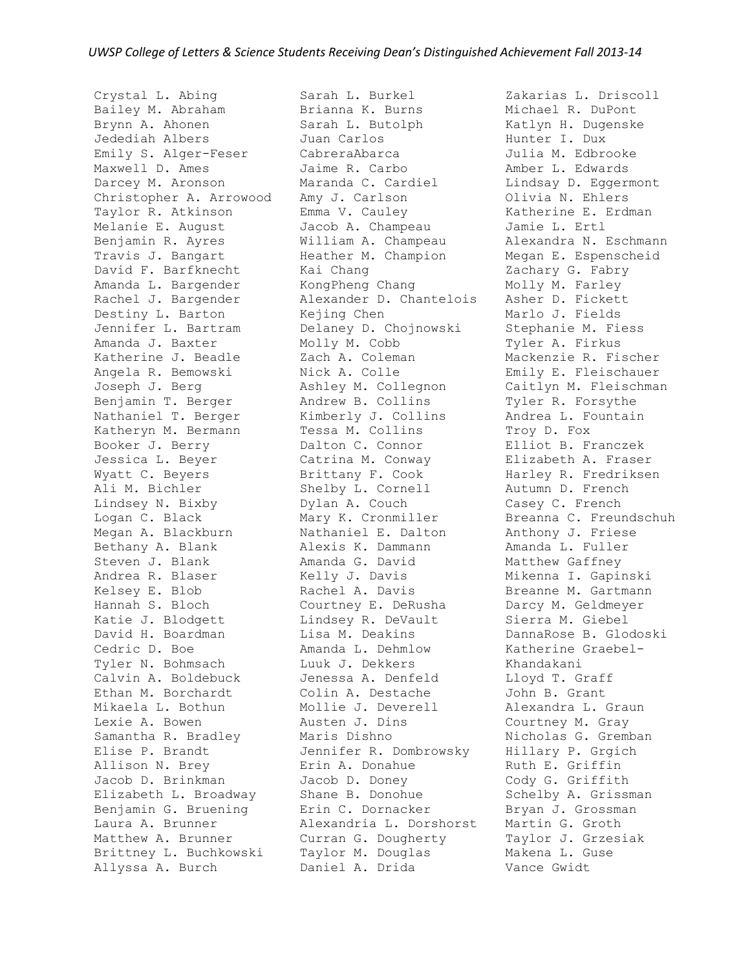Crystal L. Abing Bailey M. Abraham Brynn A. Ahonen Jedediah Albers Emily S. Alger-Feser Maxwell D. Ames Darcey M. Aronson Christopher A. Arrowood Taylor R. Atkinson Melanie E. August Benjamin R. Ayres Travis J. Bangart David F. Barfknecht Amanda L. Bargender Rachel J. Bargender Destiny L. Barton Jennifer L. Bartram Amanda J. Baxter Katherine J. Beadle Angela R. Bemowski Joseph J. Berg Benjamin T. Berger Nathaniel T. Berger Katheryn M. Bermann Booker J. Berry Jessica L. Beyer Wyatt C. Beyers Ali M. Bichler Lindsey N. Bixby Logan C. Black Megan A. Blackburn Bethany A. Blank Steven J. Blank Andrea R. Blaser Kelsey E. Blob Hannah S. Bloch Katie J. Blodgett David H. Boardman Cedric D. Boe Tyler N. Bohmsach Calvin A. Boldebuck Ethan M. Borchardt Mikaela L. Bothun Lexie A. Bowen Samantha R. Bradley Elise P. Brandt Allison N. Brey Jacob D. Brinkman Elizabeth L. Broadway Benjamin G. Bruening Laura A. Brunner Matthew A. Brunner Brittney L. Buchkowski Allyssa A. Burch

Sarah L. Burkel Brianna K. Burns Sarah L. Butolph Juan Carlos CabreraAbarca Jaime R. Carbo Maranda C. Cardiel Amy J. Carlson Emma V. Cauley Jacob A. Champeau William A. Champeau Heather M. Champion Kai Chang KongPheng Chang Alexander D. Chantelois Kejing Chen Delaney D. Chojnowski Molly M. Cobb Zach A. Coleman Nick A. Colle Ashley M. Collegnon Andrew B. Collins Kimberly J. Collins Tessa M. Collins Dalton C. Connor Catrina M. Conway Brittany F. Cook Shelby L. Cornell Dylan A. Couch Mary K. Cronmiller Nathaniel E. Dalton Alexis K. Dammann Amanda G. David Kelly J. Davis Rachel A. Davis Courtney E. DeRusha Lindsey R. DeVault Lisa M. Deakins Amanda L. Dehmlow Luuk J. Dekkers Jenessa A. Denfeld Colin A. Destache Mollie J. Deverell Austen J. Dins Maris Dishno Jennifer R. Dombrowsky Erin A. Donahue Jacob D. Doney Shane B. Donohue Erin C. Dornacker Alexandria L. Dorshorst Curran G. Dougherty Taylor M. Douglas Daniel A. Drida

Zakarias L. Driscoll Michael R. DuPont Katlyn H. Dugenske Hunter I. Dux Julia M. Edbrooke Amber L. Edwards Lindsay D. Eggermont Olivia N. Ehlers Katherine E. Erdman Jamie L. Ertl Alexandra N. Eschmann Megan E. Espenscheid Zachary G. Fabry Molly M. Farley Asher D. Fickett Marlo J. Fields Stephanie M. Fiess Tyler A. Firkus Mackenzie R. Fischer Emily E. Fleischauer Caitlyn M. Fleischman Tyler R. Forsythe Andrea L. Fountain Troy D. Fox Elliot B. Franczek Elizabeth A. Fraser Harley R. Fredriksen Autumn D. French Casey C. French Breanna C. Freundschuh Anthony J. Friese Amanda L. Fuller Matthew Gaffney Mikenna I. Gapinski Breanne M. Gartmann Darcy M. Geldmeyer Sierra M. Giebel DannaRose B. Glodoski Katherine Graebel-Khandakani Lloyd T. Graff John B. Grant Alexandra L. Graun Courtney M. Gray Nicholas G. Gremban Hillary P. Grgich Ruth E. Griffin Cody G. Griffith Schelby A. Grissman Bryan J. Grossman Martin G. Groth Taylor J. Grzesiak Makena L. Guse Vance Gwidt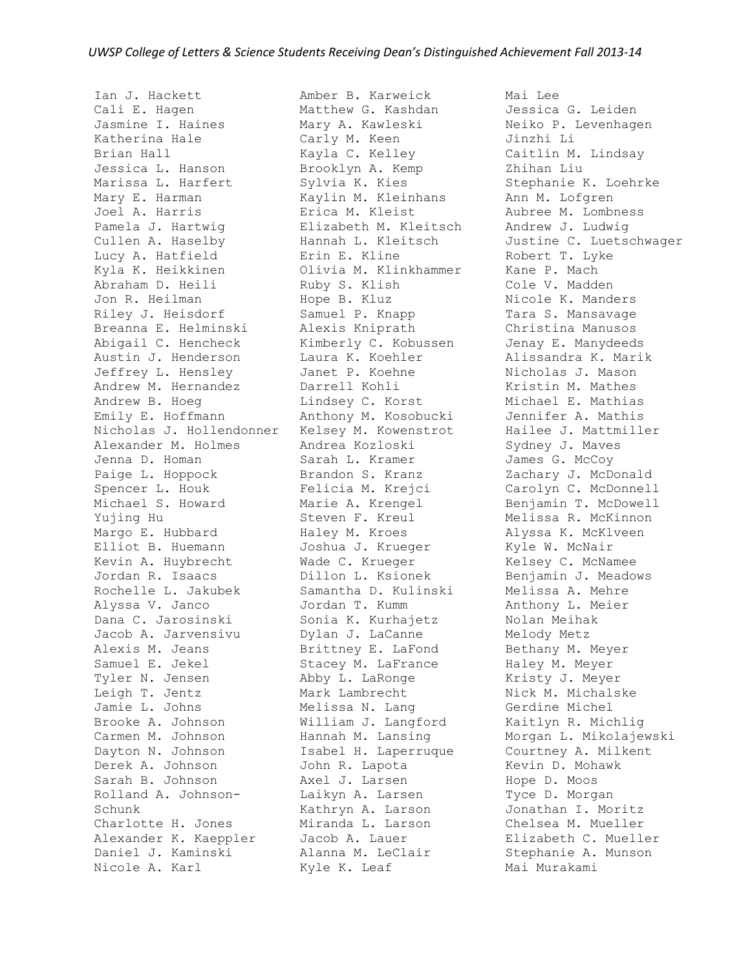Ian J. Hackett Cali E. Hagen Jasmine I. Haines Katherina Hale Brian Hall Jessica L. Hanson Marissa L. Harfert Mary E. Harman Joel A. Harris Pamela J. Hartwig Cullen A. Haselby Lucy A. Hatfield Kyla K. Heikkinen Abraham D. Heili Jon R. Heilman Riley J. Heisdorf Breanna E. Helminski Abigail C. Hencheck Austin J. Henderson Jeffrey L. Hensley Andrew M. Hernandez Andrew B. Hoeg Emily E. Hoffmann Nicholas J. Hollendonner Alexander M. Holmes Jenna D. Homan Paige L. Hoppock Spencer L. Houk Michael S. Howard Yujing Hu Margo E. Hubbard Elliot B. Huemann Kevin A. Huybrecht Jordan R. Isaacs Rochelle L. Jakubek Alyssa V. Janco Dana C. Jarosinski Jacob A. Jarvensivu Alexis M. Jeans Samuel E. Jekel Tyler N. Jensen Leigh T. Jentz Jamie L. Johns Brooke A. Johnson Carmen M. Johnson Dayton N. Johnson Derek A. Johnson Sarah B. Johnson Rolland A. Johnson-Schunk Charlotte H. Jones Alexander K. Kaeppler Daniel J. Kaminski Nicole A. Karl

Amber B. Karweick Matthew G. Kashdan Mary A. Kawleski Carly M. Keen Kayla C. Kelley Brooklyn A. Kemp Sylvia K. Kies Kaylin M. Kleinhans Erica M. Kleist Elizabeth M. Kleitsch Hannah L. Kleitsch Erin E. Kline Olivia M. Klinkhammer Ruby S. Klish Hope B. Kluz Samuel P. Knapp Alexis Kniprath Kimberly C. Kobussen Laura K. Koehler Janet P. Koehne Darrell Kohli Lindsey C. Korst Anthony M. Kosobucki Kelsey M. Kowenstrot Andrea Kozloski Sarah L. Kramer Brandon S. Kranz Felicia M. Krejci Marie A. Krengel Steven F. Kreul Haley M. Kroes Joshua J. Krueger Wade C. Krueger Dillon L. Ksionek Samantha D. Kulinski Jordan T. Kumm Sonia K. Kurhajetz Dylan J. LaCanne Brittney E. LaFond Stacey M. LaFrance Abby L. LaRonge Mark Lambrecht Melissa N. Lang William J. Langford Hannah M. Lansing Isabel H. Laperruque John R. Lapota Axel J. Larsen Laikyn A. Larsen Kathryn A. Larson Miranda L. Larson Jacob A. Lauer Alanna M. LeClair Kyle K. Leaf

Mai Lee Jessica G. Leiden Neiko P. Levenhagen Jinzhi Li Caitlin M. Lindsay Zhihan Liu Stephanie K. Loehrke Ann M. Lofgren Aubree M. Lombness Andrew J. Ludwig Justine C. Luetschwager Robert T. Lyke Kane P. Mach Cole V. Madden Nicole K. Manders Tara S. Mansavage Christina Manusos Jenay E. Manydeeds Alissandra K. Marik Nicholas J. Mason Kristin M. Mathes Michael E. Mathias Jennifer A. Mathis Hailee J. Mattmiller Sydney J. Maves James G. McCoy Zachary J. McDonald Carolyn C. McDonnell Benjamin T. McDowell Melissa R. McKinnon Alyssa K. McKlveen Kyle W. McNair Kelsey C. McNamee Benjamin J. Meadows Melissa A. Mehre Anthony L. Meier Nolan Meihak Melody Metz Bethany M. Meyer Haley M. Meyer Kristy J. Meyer Nick M. Michalske Gerdine Michel Kaitlyn R. Michlig Morgan L. Mikolajewski Courtney A. Milkent Kevin D. Mohawk Hope D. Moos Tyce D. Morgan Jonathan I. Moritz Chelsea M. Mueller Elizabeth C. Mueller Stephanie A. Munson Mai Murakami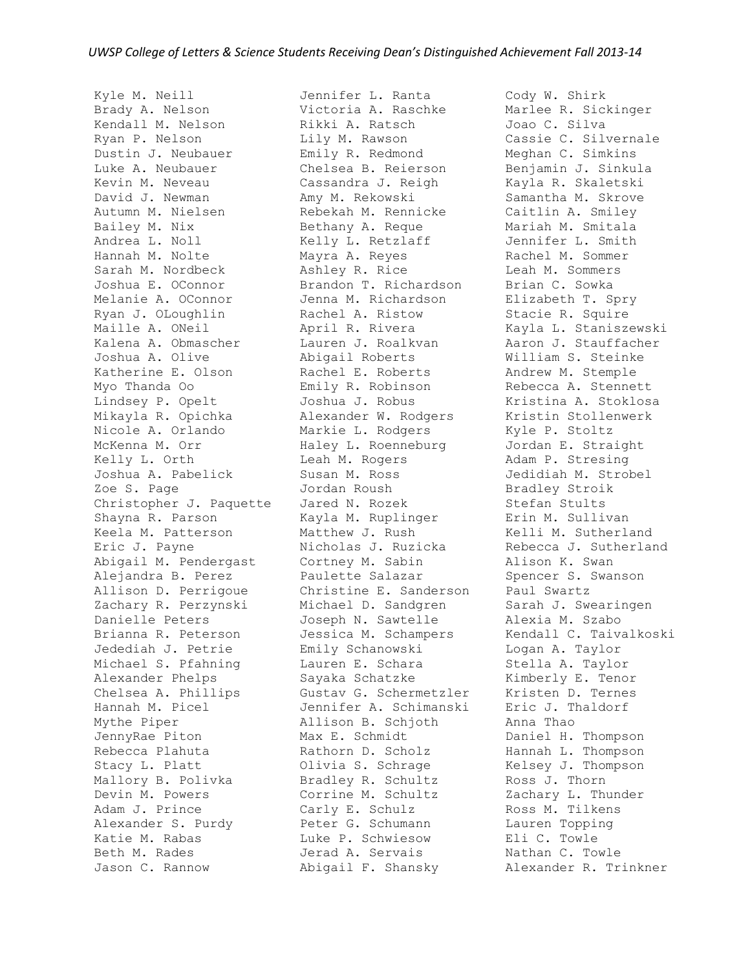Kyle M. Neill Brady A. Nelson Kendall M. Nelson Ryan P. Nelson Dustin J. Neubauer Luke A. Neubauer Kevin M. Neveau David J. Newman Autumn M. Nielsen Bailey M. Nix Andrea L. Noll Hannah M. Nolte Sarah M. Nordbeck Joshua E. OConnor Melanie A. OConnor Ryan J. OLoughlin Maille A. ONeil Kalena A. Obmascher Joshua A. Olive Katherine E. Olson Myo Thanda Oo Lindsey P. Opelt Mikayla R. Opichka Nicole A. Orlando McKenna M. Orr Kelly L. Orth Joshua A. Pabelick Zoe S. Page Christopher J. Paquette Shayna R. Parson Keela M. Patterson Eric J. Payne Abigail M. Pendergast Alejandra B. Perez Allison D. Perrigoue Zachary R. Perzynski Danielle Peters Brianna R. Peterson Jedediah J. Petrie Michael S. Pfahning Alexander Phelps Chelsea A. Phillips Hannah M. Picel Mythe Piper JennyRae Piton Rebecca Plahuta Stacy L. Platt Mallory B. Polivka Devin M. Powers Adam J. Prince Alexander S. Purdy Katie M. Rabas Beth M. Rades Jason C. Rannow

Jennifer L. Ranta Victoria A. Raschke Rikki A. Ratsch Lily M. Rawson Emily R. Redmond Chelsea B. Reierson Cassandra J. Reigh Amy M. Rekowski Rebekah M. Rennicke Bethany A. Reque Kelly L. Retzlaff Mayra A. Reyes Ashley R. Rice Brandon T. Richardson Jenna M. Richardson Rachel A. Ristow April R. Rivera Lauren J. Roalkvan Abigail Roberts Rachel E. Roberts Emily R. Robinson Joshua J. Robus Alexander W. Rodgers Markie L. Rodgers Haley L. Roenneburg Leah M. Rogers Susan M. Ross Jordan Roush Jared N. Rozek Kayla M. Ruplinger Matthew J. Rush Nicholas J. Ruzicka Cortney M. Sabin Paulette Salazar Christine E. Sanderson Michael D. Sandgren Joseph N. Sawtelle Jessica M. Schampers Emily Schanowski Lauren E. Schara Sayaka Schatzke Gustav G. Schermetzler Jennifer A. Schimanski Allison B. Schjoth Max E. Schmidt Rathorn D. Scholz Olivia S. Schrage Bradley R. Schultz Corrine M. Schultz Carly E. Schulz Peter G. Schumann Luke P. Schwiesow Jerad A. Servais Abigail F. Shansky

Cody W. Shirk Marlee R. Sickinger Joao C. Silva Cassie C. Silvernale Meghan C. Simkins Benjamin J. Sinkula Kayla R. Skaletski Samantha M. Skrove Caitlin A. Smiley Mariah M. Smitala Jennifer L. Smith Rachel M. Sommer Leah M. Sommers Brian C. Sowka Elizabeth T. Spry Stacie R. Squire Kayla L. Staniszewski Aaron J. Stauffacher William S. Steinke Andrew M. Stemple Rebecca A. Stennett Kristina A. Stoklosa Kristin Stollenwerk Kyle P. Stoltz Jordan E. Straight Adam P. Stresing Jedidiah M. Strobel Bradley Stroik Stefan Stults Erin M. Sullivan Kelli M. Sutherland Rebecca J. Sutherland Alison K. Swan Spencer S. Swanson Paul Swartz Sarah J. Swearingen Alexia M. Szabo Kendall C. Taivalkoski Logan A. Taylor Stella A. Taylor Kimberly E. Tenor Kristen D. Ternes Eric J. Thaldorf Anna Thao Daniel H. Thompson Hannah L. Thompson Kelsey J. Thompson Ross J. Thorn Zachary L. Thunder Ross M. Tilkens Lauren Topping Eli C. Towle Nathan C. Towle Alexander R. Trinkner